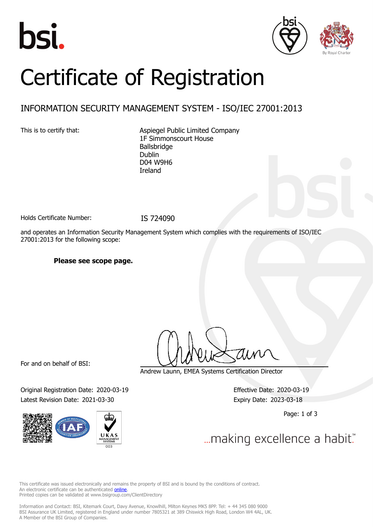





# Certificate of Registration

### INFORMATION SECURITY MANAGEMENT SYSTEM - ISO/IEC 27001:2013

This is to certify that: Aspiegel Public Limited Company 1F Simmonscourt House Ballsbridge Dublin D04 W9H6 Ireland

Holds Certificate Number: IS 724090

and operates an Information Security Management System which complies with the requirements of ISO/IEC 27001:2013 for the following scope:

**Please see scope page.**

For and on behalf of BSI:

Original Registration Date: 2020-03-19 Effective Date: 2020-03-19 Latest Revision Date: 2021-03-30 Expiry Date: 2023-03-18



Andrew Launn, EMEA Systems Certification Director

Page: 1 of 3

... making excellence a habit."

This certificate was issued electronically and remains the property of BSI and is bound by the conditions of contract. An electronic certificate can be authenticated **[online](https://pgplus.bsigroup.com/CertificateValidation/CertificateValidator.aspx?CertificateNumber=IS+724090&ReIssueDate=30%2f03%2f2021&Template=uk)**. Printed copies can be validated at www.bsigroup.com/ClientDirectory

Information and Contact: BSI, Kitemark Court, Davy Avenue, Knowlhill, Milton Keynes MK5 8PP. Tel: + 44 345 080 9000 BSI Assurance UK Limited, registered in England under number 7805321 at 389 Chiswick High Road, London W4 4AL, UK. A Member of the BSI Group of Companies.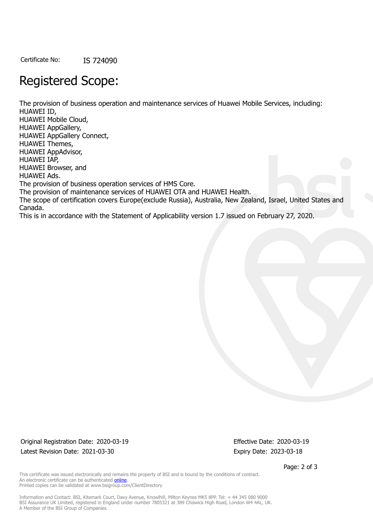Certificate No: IS 724090

## Registered Scope:

The provision of business operation and maintenance services of Huawei Mobile Services, including: HUAWEI ID, HUAWEI Mobile Cloud, HUAWEI AppGallery, HUAWEI AppGallery Connect, HUAWEI Themes, HUAWEI AppAdvisor, HUAWEI IAP, HUAWEI Browser, and HUAWEI Ads. The provision of business operation services of HMS Core. The provision of maintenance services of HUAWEI OTA and HUAWEI Health. The scope of certification covers Europe(exclude Russia), Australia, New Zealand, Israel, United States and Canada. This is in accordance with the Statement of Applicability version 1.7 issued on February 27, 2020.

Original Registration Date: 2020-03-19 Effective Date: 2020-03-19 Latest Revision Date: 2021-03-30 Expiry Date: 2023-03-18

Page: 2 of 3

This certificate was issued electronically and remains the property of BSI and is bound by the conditions of contract. An electronic certificate can be authenticated **[online](https://pgplus.bsigroup.com/CertificateValidation/CertificateValidator.aspx?CertificateNumber=IS+724090&ReIssueDate=30%2f03%2f2021&Template=uk)**. Printed copies can be validated at www.bsigroup.com/ClientDirectory

Information and Contact: BSI, Kitemark Court, Davy Avenue, Knowlhill, Milton Keynes MK5 8PP. Tel: + 44 345 080 9000 BSI Assurance UK Limited, registered in England under number 7805321 at 389 Chiswick High Road, London W4 4AL, UK. A Member of the BSI Group of Companies.